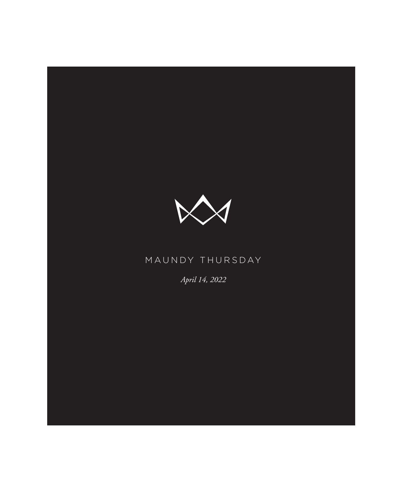

# MAUNDY THURSDAY

*April 14, 2022*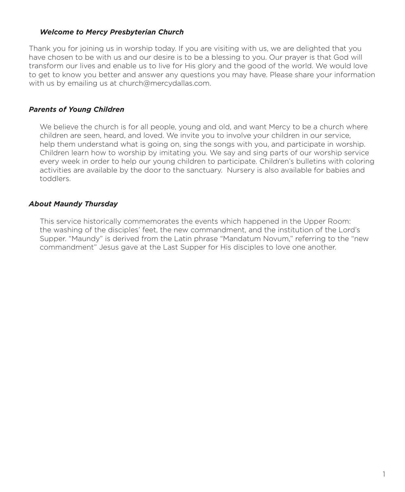#### *Welcome to Mercy Presbyterian Church*

Thank you for joining us in worship today. If you are visiting with us, we are delighted that you have chosen to be with us and our desire is to be a blessing to you. Our prayer is that God will transform our lives and enable us to live for His glory and the good of the world. We would love to get to know you better and answer any questions you may have. Please share your information with us by emailing us at church@mercydallas.com.

#### *Parents of Young Children*

We believe the church is for all people, young and old, and want Mercy to be a church where children are seen, heard, and loved. We invite you to involve your children in our service, help them understand what is going on, sing the songs with you, and participate in worship. Children learn how to worship by imitating you. We say and sing parts of our worship service every week in order to help our young children to participate. Children's bulletins with coloring activities are available by the door to the sanctuary. Nursery is also available for babies and toddlers.

#### *About Maundy Thursday*

This service historically commemorates the events which happened in the Upper Room: the washing of the disciples' feet, the new commandment, and the institution of the Lord's Supper. "Maundy" is derived from the Latin phrase "Mandatum Novum," referring to the "new commandment" Jesus gave at the Last Supper for His disciples to love one another.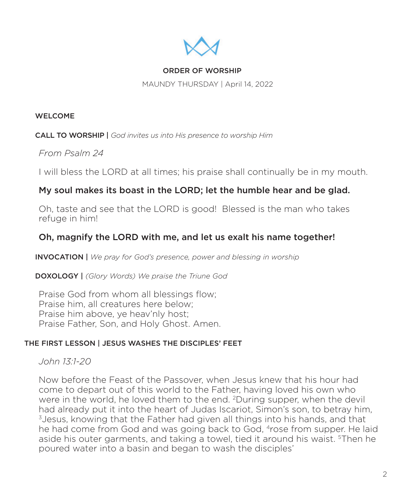

### ORDER OF WORSHIP

MAUNDY THURSDAY | April 14, 2022

#### WELCOME

CALL TO WORSHIP | *God invites us into His presence to worship Him*

## *From Psalm 24*

I will bless the LORD at all times; his praise shall continually be in my mouth.

## My soul makes its boast in the LORD; let the humble hear and be glad.

Oh, taste and see that the LORD is good! Blessed is the man who takes refuge in him!

## Oh, magnify the LORD with me, and let us exalt his name together!

INVOCATION | *We pray for God's presence, power and blessing in worship*

DOXOLOGY | *(Glory Words) We praise the Triune God*

Praise God from whom all blessings flow; Praise him, all creatures here below; Praise him above, ye heav'nly host; Praise Father, Son, and Holy Ghost. Amen.

### THE FIRST LESSON | JESUS WASHES THE DISCIPLES' FEET

*John 13:1-20* 

Now before the Feast of the Passover, when Jesus knew that his hour had come to depart out of this world to the Father, having loved his own who were in the world, he loved them to the end. 2During supper, when the devil had already put it into the heart of Judas Iscariot, Simon's son, to betray him, 3Jesus, knowing that the Father had given all things into his hands, and that he had come from God and was going back to God, <sup>4</sup>rose from supper. He laid aside his outer garments, and taking a towel, tied it around his waist. <sup>5</sup>Then he poured water into a basin and began to wash the disciples'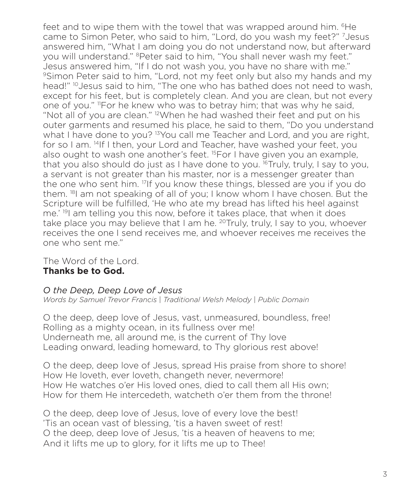feet and to wipe them with the towel that was wrapped around him. <sup>6</sup>He came to Simon Peter, who said to him, "Lord, do you wash my feet?" 7Jesus answered him, "What I am doing you do not understand now, but afterward you will understand." <sup>8</sup>Peter said to him, "You shall never wash my feet." Jesus answered him, "If I do not wash you, you have no share with me." 9Simon Peter said to him, "Lord, not my feet only but also my hands and my head!" <sup>10</sup> Jesus said to him, "The one who has bathed does not need to wash, except for his feet, but is completely clean. And you are clean, but not every one of you." 11For he knew who was to betray him; that was why he said, "Not all of you are clean." 12When he had washed their feet and put on his outer garments and resumed his place, he said to them, "Do you understand what I have done to you? <sup>13</sup> You call me Teacher and Lord, and you are right, for so I am. 14If I then, your Lord and Teacher, have washed your feet, you also ought to wash one another's feet. <sup>15</sup>For I have given you an example, that you also should do just as I have done to you. <sup>16</sup>Truly, truly, I say to you, a servant is not greater than his master, nor is a messenger greater than the one who sent him. 17If you know these things, blessed are you if you do them. <sup>18</sup>I am not speaking of all of you; I know whom I have chosen. But the Scripture will be fulfilled, 'He who ate my bread has lifted his heel against me.' 19I am telling you this now, before it takes place, that when it does take place you may believe that I am he. <sup>20</sup>Truly, truly, I say to you, whoever receives the one I send receives me, and whoever receives me receives the one who sent me."

The Word of the Lord. **Thanks be to God.**

## *O the Deep, Deep Love of Jesus*

*Words by Samuel Trevor Francis* | *Traditional Welsh Melody* | *Public Domain*

O the deep, deep love of Jesus, vast, unmeasured, boundless, free! Rolling as a mighty ocean, in its fullness over me! Underneath me, all around me, is the current of Thy love Leading onward, leading homeward, to Thy glorious rest above!

O the deep, deep love of Jesus, spread His praise from shore to shore! How He loveth, ever loveth, changeth never, nevermore! How He watches o'er His loved ones, died to call them all His own; How for them He intercedeth, watcheth o'er them from the throne!

O the deep, deep love of Jesus, love of every love the best! 'Tis an ocean vast of blessing, 'tis a haven sweet of rest! O the deep, deep love of Jesus, 'tis a heaven of heavens to me; And it lifts me up to glory, for it lifts me up to Thee!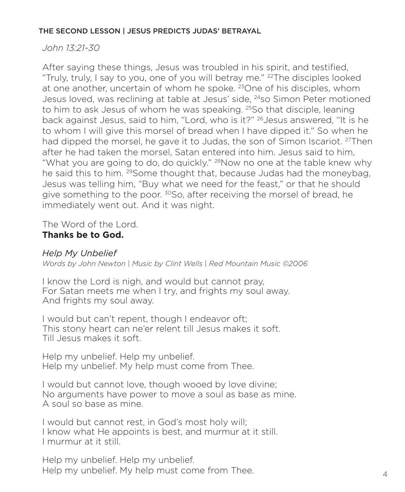#### THE SECOND LESSON | JESUS PREDICTS JUDAS' BETRAYAL

## *John 13:21-30*

After saying these things, Jesus was troubled in his spirit, and testified, "Truly, truly, I say to you, one of you will betray me." 22The disciples looked at one another, uncertain of whom he spoke. 23One of his disciples, whom Jesus loved, was reclining at table at Jesus' side, 24so Simon Peter motioned to him to ask Jesus of whom he was speaking. <sup>25</sup>So that disciple, leaning back against Jesus, said to him, "Lord, who is it?" 26Jesus answered, "It is he to whom I will give this morsel of bread when I have dipped it." So when he had dipped the morsel, he gave it to Judas, the son of Simon Iscariot. <sup>27</sup>Then after he had taken the morsel, Satan entered into him. Jesus said to him, "What you are going to do, do quickly." <sup>28</sup>Now no one at the table knew why he said this to him. <sup>29</sup>Some thought that, because Judas had the moneybag, Jesus was telling him, "Buy what we need for the feast," or that he should give something to the poor. <sup>30</sup>So, after receiving the morsel of bread, he immediately went out. And it was night.

The Word of the Lord. **Thanks be to God.**

## *Help My Unbelief*

*Words by John Newton* | *Music by Clint Wells* | *Red Mountain Music ©2006*

I know the Lord is nigh, and would but cannot pray, For Satan meets me when I try, and frights my soul away. And frights my soul away.

I would but can't repent, though I endeavor oft; This stony heart can ne'er relent till Jesus makes it soft. Till Jesus makes it soft.

Help my unbelief. Help my unbelief. Help my unbelief. My help must come from Thee.

I would but cannot love, though wooed by love divine; No arguments have power to move a soul as base as mine. A soul so base as mine.

I would but cannot rest, in God's most holy will; I know what He appoints is best, and murmur at it still. I murmur at it still.

Help my unbelief. Help my unbelief. Help my unbelief. My help must come from Thee.  $4\,$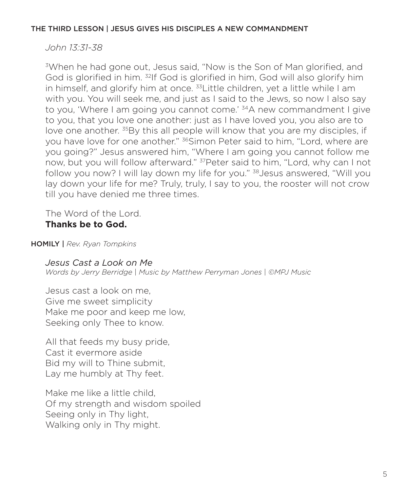### THE THIRD LESSON | JESUS GIVES HIS DISCIPLES A NEW COMMANDMENT

### *John 13:31-38*

3When he had gone out, Jesus said, "Now is the Son of Man glorified, and God is glorified in him. 32If God is glorified in him, God will also glorify him in himself, and glorify him at once.  $33$ Little children, yet a little while I am with you. You will seek me, and just as I said to the Jews, so now I also say to you, 'Where I am going you cannot come.' <sup>34</sup>A new commandment I give to you, that you love one another: just as I have loved you, you also are to love one another. <sup>35</sup>By this all people will know that you are my disciples, if you have love for one another." <sup>36</sup>Simon Peter said to him, "Lord, where are you going?" Jesus answered him, "Where I am going you cannot follow me now, but you will follow afterward." 37Peter said to him, "Lord, why can I not follow you now? I will lay down my life for you." 38Jesus answered, "Will you lay down your life for me? Truly, truly, I say to you, the rooster will not crow till you have denied me three times.

The Word of the Lord. **Thanks be to God.**

HOMILY | *Rev. Ryan Tompkins*

*Jesus Cast a Look on Me*

*Words by Jerry Berridge* | *Music by Matthew Perryman Jones* | *©MPJ Music*

Jesus cast a look on me, Give me sweet simplicity Make me poor and keep me low, Seeking only Thee to know.

All that feeds my busy pride, Cast it evermore aside Bid my will to Thine submit, Lay me humbly at Thy feet.

Make me like a little child, Of my strength and wisdom spoiled Seeing only in Thy light, Walking only in Thy might.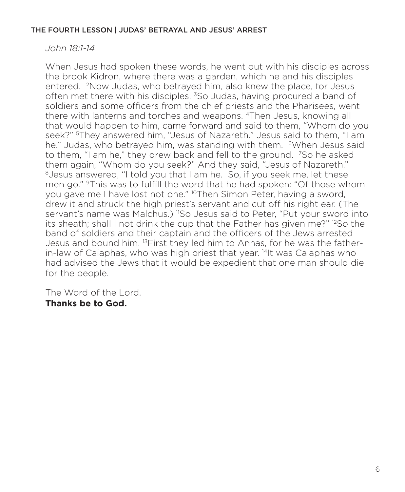#### THE FOURTH LESSON | JUDAS' BETRAYAL AND JESUS' ARREST

## *John 18:1-14*

When Jesus had spoken these words, he went out with his disciples across the brook Kidron, where there was a garden, which he and his disciples entered. 2Now Judas, who betrayed him, also knew the place, for Jesus often met there with his disciples. <sup>3</sup>So Judas, having procured a band of soldiers and some officers from the chief priests and the Pharisees, went there with lanterns and torches and weapons. 4Then Jesus, knowing all that would happen to him, came forward and said to them, "Whom do you seek?" 5They answered him, "Jesus of Nazareth." Jesus said to them, "I am he." Judas, who betrayed him, was standing with them. <sup>6</sup>When Jesus said to them, "I am he," they drew back and fell to the ground. 7So he asked them again, "Whom do you seek?" And they said, "Jesus of Nazareth." <sup>8</sup> Jesus answered, "I told you that I am he. So, if you seek me, let these men go." 9This was to fulfill the word that he had spoken: "Of those whom you gave me I have lost not one." 10Then Simon Peter, having a sword, drew it and struck the high priest's servant and cut off his right ear. (The servant's name was Malchus.) "So Jesus said to Peter, "Put your sword into its sheath; shall I not drink the cup that the Father has given me?" <sup>12</sup>So the band of soldiers and their captain and the officers of the Jews arrested Jesus and bound him. 13First they led him to Annas, for he was the fatherin-law of Caiaphas, who was high priest that year. 14It was Caiaphas who had advised the Jews that it would be expedient that one man should die for the people.

The Word of the Lord. **Thanks be to God.**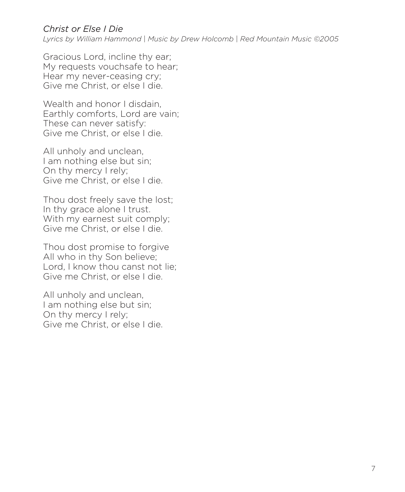# *Christ or Else I Die*

*Lyrics by William Hammond* | *Music by Drew Holcomb* | *Red Mountain Music ©2005*

Gracious Lord, incline thy ear; My requests vouchsafe to hear; Hear my never-ceasing cry; Give me Christ, or else I die.

Wealth and honor I disdain. Earthly comforts, Lord are vain; These can never satisfy: Give me Christ, or else I die.

All unholy and unclean, I am nothing else but sin; On thy mercy I rely; Give me Christ, or else I die.

Thou dost freely save the lost; In thy grace alone I trust. With my earnest suit comply; Give me Christ, or else I die.

Thou dost promise to forgive All who in thy Son believe; Lord, I know thou canst not lie; Give me Christ, or else I die.

All unholy and unclean, I am nothing else but sin; On thy mercy I rely; Give me Christ, or else I die.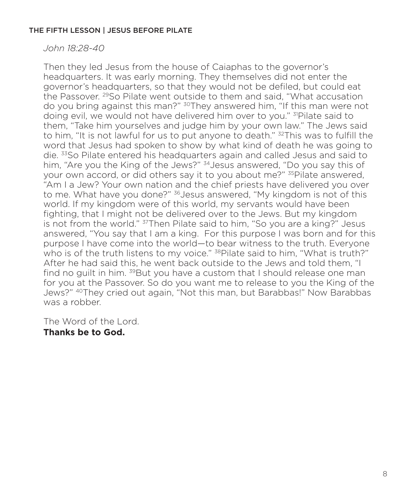#### THE FIFTH LESSON | JESUS BEFORE PILATE

*John 18:28-40*

Then they led Jesus from the house of Caiaphas to the governor's headquarters. It was early morning. They themselves did not enter the governor's headquarters, so that they would not be defiled, but could eat the Passover. 29So Pilate went outside to them and said, "What accusation do you bring against this man?" <sup>30</sup>They answered him, "If this man were not doing evil, we would not have delivered him over to you." <sup>31</sup>Pilate said to them, "Take him yourselves and judge him by your own law." The Jews said to him, "It is not lawful for us to put anyone to death." <sup>32</sup>This was to fulfill the word that Jesus had spoken to show by what kind of death he was going to die. 33So Pilate entered his headquarters again and called Jesus and said to him, "Are you the King of the Jews?" <sup>34</sup> Jesus answered, "Do you say this of your own accord, or did others say it to you about me?" <sup>35</sup>Pilate answered, "Am I a Jew? Your own nation and the chief priests have delivered you over to me. What have you done?" <sup>36</sup>Jesus answered, "My kingdom is not of this world. If my kingdom were of this world, my servants would have been fighting, that I might not be delivered over to the Jews. But my kingdom is not from the world." 37Then Pilate said to him, "So you are a king?" Jesus answered, "You say that I am a king. For this purpose I was born and for this purpose I have come into the world—to bear witness to the truth. Everyone who is of the truth listens to my voice." <sup>38</sup>Pilate said to him, "What is truth?" After he had said this, he went back outside to the Jews and told them, "I find no quilt in him. <sup>39</sup>But you have a custom that I should release one man for you at the Passover. So do you want me to release to you the King of the Jews?" 40They cried out again, "Not this man, but Barabbas!" Now Barabbas was a robber.

The Word of the Lord. **Thanks be to God.**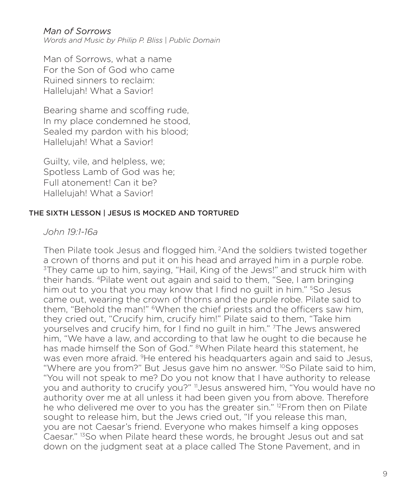### *Man of Sorrows*

*Words and Music by Philip P. Bliss* | *Public Domain*

Man of Sorrows, what a name For the Son of God who came Ruined sinners to reclaim: Hallelujah! What a Savior!

Bearing shame and scoffing rude, In my place condemned he stood, Sealed my pardon with his blood; Hallelujah! What a Savior!

Guilty, vile, and helpless, we; Spotless Lamb of God was he; Full atonement! Can it be? Hallelujah! What a Savior!

#### THE SIXTH LESSON | JESUS IS MOCKED AND TORTURED

### *John 19:1-16a*

Then Pilate took Jesus and flogged him. 2And the soldiers twisted together a crown of thorns and put it on his head and arrayed him in a purple robe. 3They came up to him, saying, "Hail, King of the Jews!" and struck him with their hands. 4Pilate went out again and said to them, "See, I am bringing him out to you that you may know that I find no quilt in him." <sup>5</sup>So Jesus came out, wearing the crown of thorns and the purple robe. Pilate said to them, "Behold the man!" 6When the chief priests and the officers saw him, they cried out, "Crucify him, crucify him!" Pilate said to them, "Take him yourselves and crucify him, for I find no guilt in him." 7The Jews answered him, "We have a law, and according to that law he ought to die because he has made himself the Son of God." <sup>8</sup>When Pilate heard this statement, he was even more afraid. <sup>9</sup>He entered his headquarters again and said to Jesus, "Where are you from?" But Jesus gave him no answer. <sup>10</sup>So Pilate said to him, "You will not speak to me? Do you not know that I have authority to release you and authority to crucify you?" 11Jesus answered him, "You would have no authority over me at all unless it had been given you from above. Therefore he who delivered me over to you has the greater sin." <sup>12</sup>From then on Pilate sought to release him, but the Jews cried out, "If you release this man, you are not Caesar's friend. Everyone who makes himself a king opposes Caesar." 13So when Pilate heard these words, he brought Jesus out and sat down on the judgment seat at a place called The Stone Pavement, and in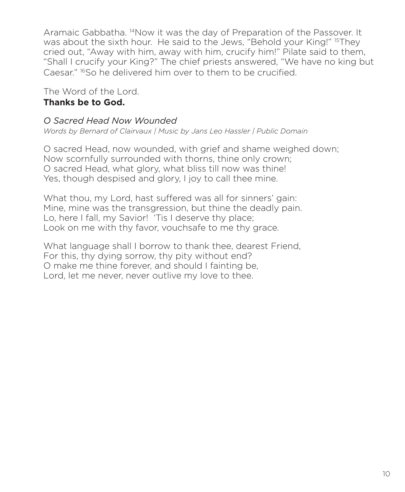Aramaic Gabbatha. 14Now it was the day of Preparation of the Passover. It was about the sixth hour. He said to the Jews, "Behold your King!" <sup>15</sup>They cried out, "Away with him, away with him, crucify him!" Pilate said to them, "Shall I crucify your King?" The chief priests answered, "We have no king but Caesar." 16So he delivered him over to them to be crucified.

The Word of the Lord. **Thanks be to God.**

## *O Sacred Head Now Wounded*

*Words by Bernard of Clairvaux | Music by Jans Leo Hassler | Public Domain*

O sacred Head, now wounded, with grief and shame weighed down; Now scornfully surrounded with thorns, thine only crown; O sacred Head, what glory, what bliss till now was thine! Yes, though despised and glory, I joy to call thee mine.

What thou, my Lord, hast suffered was all for sinners' gain: Mine, mine was the transgression, but thine the deadly pain. Lo, here I fall, my Savior! 'Tis I deserve thy place; Look on me with thy favor, vouchsafe to me thy grace.

What language shall I borrow to thank thee, dearest Friend, For this, thy dying sorrow, thy pity without end? O make me thine forever, and should I fainting be, Lord, let me never, never outlive my love to thee.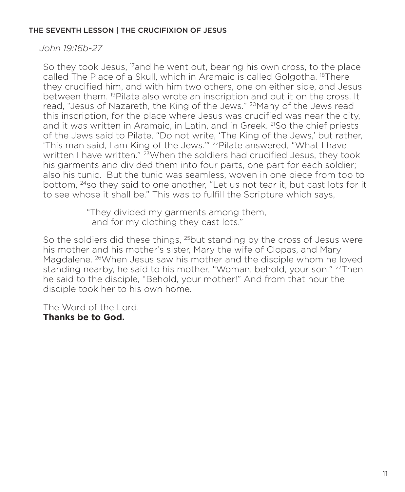#### THE SEVENTH LESSON | THE CRUCIFIXION OF JESUS

*John 19:16b-27*

So they took Jesus,  $\frac{17}{2}$  and he went out, bearing his own cross, to the place called The Place of a Skull, which in Aramaic is called Golgotha. 18There they crucified him, and with him two others, one on either side, and Jesus between them. 19Pilate also wrote an inscription and put it on the cross. It read, "Jesus of Nazareth, the King of the Jews." <sup>20</sup>Many of the Jews read this inscription, for the place where Jesus was crucified was near the city, and it was written in Aramaic, in Latin, and in Greek. <sup>21</sup>So the chief priests of the Jews said to Pilate, "Do not write, 'The King of the Jews,' but rather, 'This man said, I am King of the Jews.'" 22Pilate answered, "What I have written I have written." <sup>23</sup> When the soldiers had crucified Jesus, they took his garments and divided them into four parts, one part for each soldier; also his tunic. But the tunic was seamless, woven in one piece from top to bottom, 24so they said to one another, "Let us not tear it, but cast lots for it to see whose it shall be." This was to fulfill the Scripture which says,

> "They divided my garments among them, and for my clothing they cast lots."

So the soldiers did these things, <sup>25</sup>but standing by the cross of Jesus were his mother and his mother's sister, Mary the wife of Clopas, and Mary Magdalene. 26When Jesus saw his mother and the disciple whom he loved standing nearby, he said to his mother, "Woman, behold, your son!" <sup>27</sup>Then he said to the disciple, "Behold, your mother!" And from that hour the disciple took her to his own home.

The Word of the Lord. **Thanks be to God.**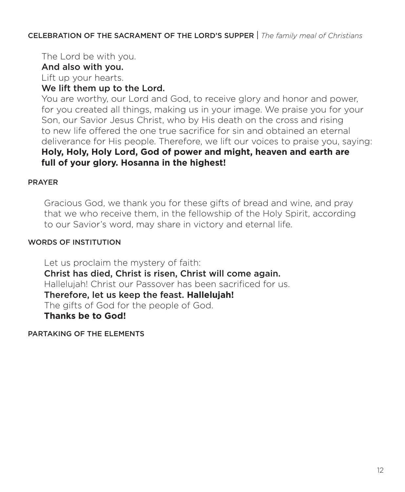CELEBRATION OF THE SACRAMENT OF THE LORD'S SUPPER | *The family meal of Christians*

The Lord be with you.

## And also with you.

Lift up your hearts.

## We lift them up to the Lord.

 You are worthy, our Lord and God, to receive glory and honor and power, for you created all things, making us in your image. We praise you for your Son, our Savior Jesus Christ, who by His death on the cross and rising to new life offered the one true sacrifice for sin and obtained an eternal deliverance for His people. Therefore, we lift our voices to praise you, saying: **Holy, Holy, Holy Lord, God of power and might, heaven and earth are full of your glory. Hosanna in the highest!**

### PRAYER

 Gracious God, we thank you for these gifts of bread and wine, and pray that we who receive them, in the fellowship of the Holy Spirit, according to our Savior's word, may share in victory and eternal life.

### WORDS OF INSTITUTION

 Let us proclaim the mystery of faith: Christ has died, Christ is risen, Christ will come again. Hallelujah! Christ our Passover has been sacrificed for us. Therefore, let us keep the feast. **Hallelujah!**  The gifts of God for the people of God.  **Thanks be to God!** 

PARTAKING OF THE ELEMENTS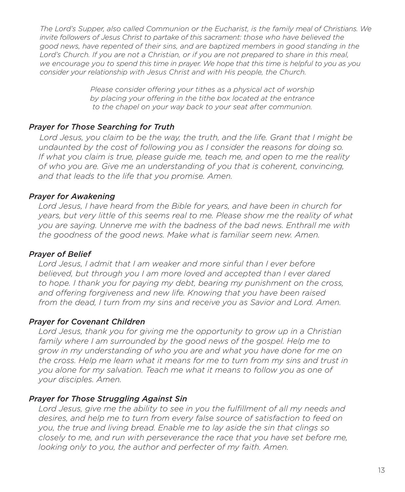*The Lord's Supper, also called Communion or the Eucharist, is the family meal of Christians. We invite followers of Jesus Christ to partake of this sacrament: those who have believed the good news, have repented of their sins, and are baptized members in good standing in the*  Lord's Church. If you are not a Christian, or if you are not prepared to share in this meal, *we encourage you to spend this time in prayer. We hope that this time is helpful to you as you consider your relationship with Jesus Christ and with His people, the Church.*

> *Please consider offering your tithes as a physical act of worship by placing your offering in the tithe box located at the entrance to the chapel on your way back to your seat after communion.*

## *Prayer for Those Searching for Truth*

 *Lord Jesus, you claim to be the way, the truth, and the life. Grant that I might be undaunted by the cost of following you as I consider the reasons for doing so. If what you claim is true, please guide me, teach me, and open to me the reality of who you are. Give me an understanding of you that is coherent, convincing, and that leads to the life that you promise. Amen.*

## *Prayer for Awakening*

 *Lord Jesus, I have heard from the Bible for years, and have been in church for years, but very little of this seems real to me. Please show me the reality of what you are saying. Unnerve me with the badness of the bad news. Enthrall me with the goodness of the good news. Make what is familiar seem new. Amen.*

### *Prayer of Belief*

 *Lord Jesus, I admit that I am weaker and more sinful than I ever before believed, but through you I am more loved and accepted than I ever dared to hope. I thank you for paying my debt, bearing my punishment on the cross, and offering forgiveness and new life. Knowing that you have been raised from the dead, I turn from my sins and receive you as Savior and Lord. Amen.*

### *Prayer for Covenant Children*

 *Lord Jesus, thank you for giving me the opportunity to grow up in a Christian family where I am surrounded by the good news of the gospel. Help me to grow in my understanding of who you are and what you have done for me on the cross. Help me learn what it means for me to turn from my sins and trust in you alone for my salvation. Teach me what it means to follow you as one of your disciples. Amen.*

### *Prayer for Those Struggling Against Sin*

 *Lord Jesus, give me the ability to see in you the fulfillment of all my needs and desires, and help me to turn from every false source of satisfaction to feed on you, the true and living bread. Enable me to lay aside the sin that clings so closely to me, and run with perseverance the race that you have set before me, looking only to you, the author and perfecter of my faith. Amen.*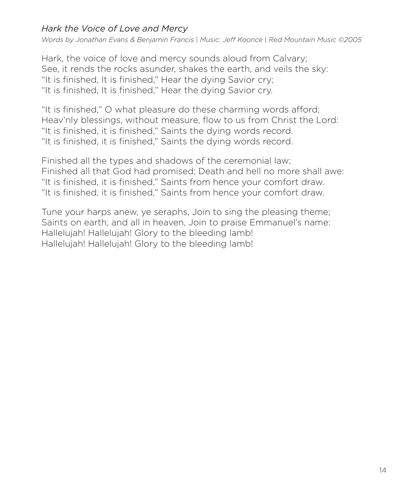# *Hark the Voice of Love and Mercy*

*Words by Jonathan Evans & Benjamin Francis* | *Music: Jeff Koonce* | *Red Mountain Music ©2005*

Hark, the voice of love and mercy sounds aloud from Calvary; See, it rends the rocks asunder, shakes the earth, and veils the sky: "It is finished, It is finished," Hear the dying Savior cry; "It is finished, It is finished," Hear the dying Savior cry.

"It is finished," O what pleasure do these charming words afford; Heav'nly blessings, without measure, flow to us from Christ the Lord: "It is finished, it is finished," Saints the dying words record. "It is finished, it is finished," Saints the dying words record.

Finished all the types and shadows of the ceremonial law; Finished all that God had promised; Death and hell no more shall awe: "It is finished, it is finished," Saints from hence your comfort draw. "It is finished, it is finished," Saints from hence your comfort draw.

Tune your harps anew, ye seraphs, Join to sing the pleasing theme; Saints on earth, and all in heaven, Join to praise Emmanuel's name: Hallelujah! Hallelujah! Glory to the bleeding lamb! Hallelujah! Hallelujah! Glory to the bleeding lamb!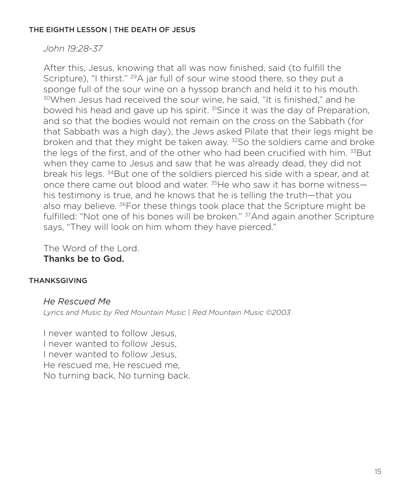### THE EIGHTH LESSON | THE DEATH OF JESUS

*John 19:28-37*

After this, Jesus, knowing that all was now finished, said (to fulfill the Scripture), "I thirst." <sup>29</sup>A jar full of sour wine stood there, so they put a sponge full of the sour wine on a hyssop branch and held it to his mouth. <sup>30</sup>When Jesus had received the sour wine, he said, "It is finished," and he bowed his head and gave up his spirit. 31Since it was the day of Preparation, and so that the bodies would not remain on the cross on the Sabbath (for that Sabbath was a high day), the Jews asked Pilate that their legs might be broken and that they might be taken away.  $32$  So the soldiers came and broke the legs of the first, and of the other who had been crucified with him. 33 But when they came to Jesus and saw that he was already dead, they did not break his legs. 34But one of the soldiers pierced his side with a spear, and at once there came out blood and water.  $35$ He who saw it has borne witness his testimony is true, and he knows that he is telling the truth—that you also may believe. <sup>36</sup>For these things took place that the Scripture might be fulfilled: "Not one of his bones will be broken." <sup>37</sup>And again another Scripture says, "They will look on him whom they have pierced."

The Word of the Lord. Thanks be to God.

#### THANKSGIVING

### *He Rescued Me*

*Lyrics and Music by Red Mountain Music* | *Red Mountain Music ©2003*

I never wanted to follow Jesus, I never wanted to follow Jesus, I never wanted to follow Jesus, He rescued me, He rescued me, No turning back, No turning back.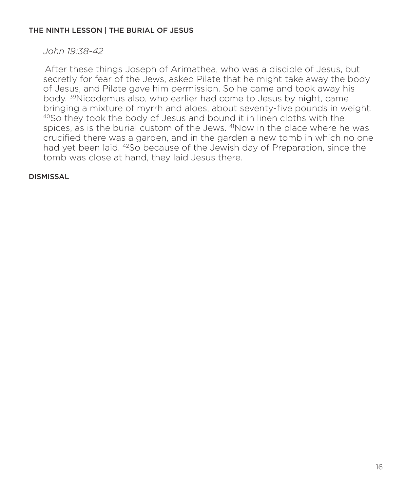#### THE NINTH LESSON | THE BURIAL OF JESUS

## *John 19:38-42*

After these things Joseph of Arimathea, who was a disciple of Jesus, but secretly for fear of the Jews, asked Pilate that he might take away the body of Jesus, and Pilate gave him permission. So he came and took away his body. 39Nicodemus also, who earlier had come to Jesus by night, came bringing a mixture of myrrh and aloes, about seventy-five pounds in weight. 40So they took the body of Jesus and bound it in linen cloths with the spices, as is the burial custom of the Jews. <sup>41</sup>Now in the place where he was crucified there was a garden, and in the garden a new tomb in which no one had yet been laid. <sup>42</sup>So because of the Jewish day of Preparation, since the tomb was close at hand, they laid Jesus there.

#### **DISMISSAL**